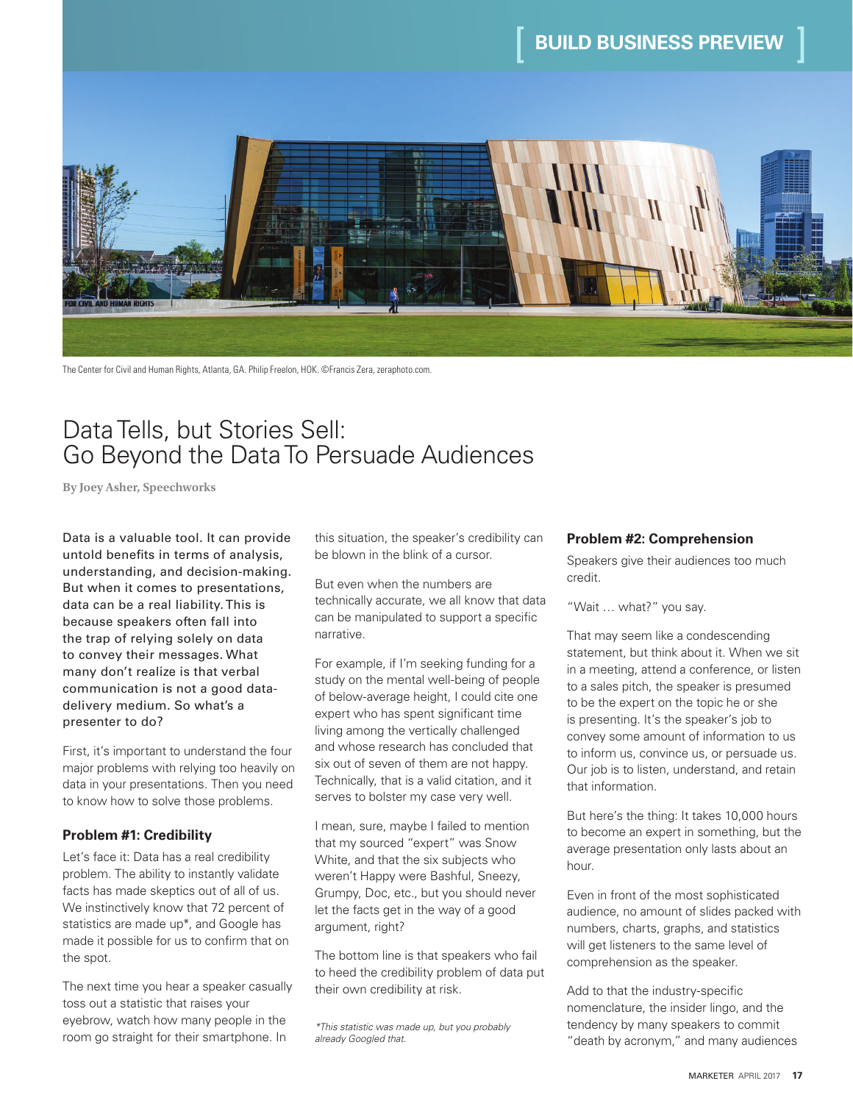

The Center for Civil and Human Rights, Atlanta, GA. Philip Freelon, HOK. ©Francis Zera, zeraphoto.com.

## Data Tells, but Stories Sell: Go Beyond the Data To Persuade Audiences

**By Joey Asher, Speechworks**

Data is a valuable tool. It can provide untold benefits in terms of analysis, understanding, and decision-making. But when it comes to presentations, data can be a real liability. This is because speakers often fall into the trap of relying solely on data to convey their messages. What many don't realize is that verbal communication is not a good datadelivery medium. So what's a presenter to do?

First, it's important to understand the four major problems with relying too heavily on data in your presentations. Then you need to know how to solve those problems.

#### **Problem #1: Credibility**

Let's face it: Data has a real credibility problem. The ability to instantly validate facts has made skeptics out of all of us. We instinctively know that 72 percent of statistics are made up\*, and Google has made it possible for us to confirm that on the spot.

The next time you hear a speaker casually toss out a statistic that raises your eyebrow, watch how many people in the room go straight for their smartphone. In

this situation, the speaker's credibility can be blown in the blink of a cursor.

But even when the numbers are technically accurate, we all know that data can be manipulated to support a specific narrative.

For example, if I'm seeking funding for a study on the mental well-being of people of below-average height, I could cite one expert who has spent significant time living among the vertically challenged and whose research has concluded that six out of seven of them are not happy. Technically, that is a valid citation, and it serves to bolster my case very well.

I mean, sure, maybe I failed to mention that my sourced "expert" was Snow White, and that the six subjects who weren't Happy were Bashful, Sneezy, Grumpy, Doc, etc., but you should never let the facts get in the way of a good argument, right?

The bottom line is that speakers who fail to heed the credibility problem of data put their own credibility at risk.

#### **Problem #2: Comprehension**

Speakers give their audiences too much credit.

"Wait … what?" you say.

That may seem like a condescending statement, but think about it. When we sit in a meeting, attend a conference, or listen to a sales pitch, the speaker is presumed to be the expert on the topic he or she is presenting. It's the speaker's job to convey some amount of information to us to inform us, convince us, or persuade us. Our job is to listen, understand, and retain that information.

But here's the thing: It takes 10,000 hours to become an expert in something, but the average presentation only lasts about an hour.

Even in front of the most sophisticated audience, no amount of slides packed with numbers, charts, graphs, and statistics will get listeners to the same level of comprehension as the speaker.

Add to that the industry-specific nomenclature, the insider lingo, and the tendency by many speakers to commit "death by acronym," and many audiences

*<sup>\*</sup>This statistic was made up, but you probably already Googled that.*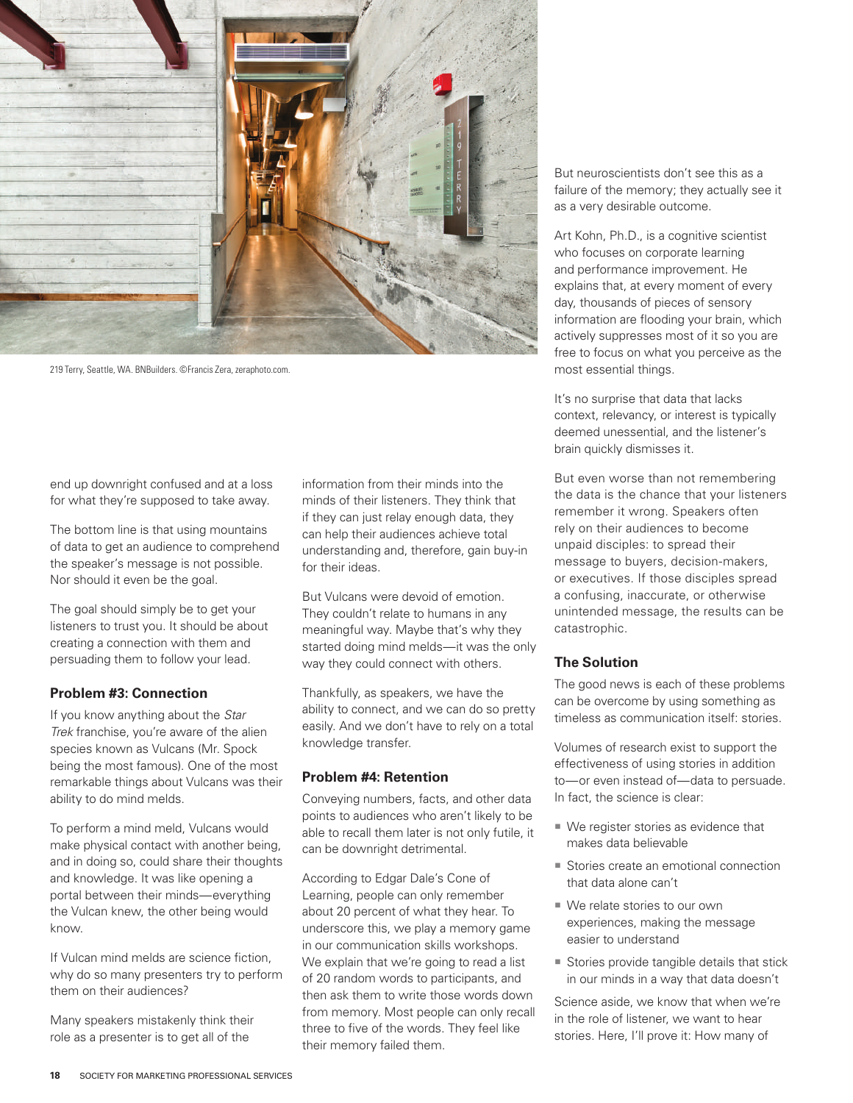

219 Terry, Seattle, WA. BNBuilders. ©Francis Zera, zeraphoto.com.

end up downright confused and at a loss for what they're supposed to take away.

The bottom line is that using mountains of data to get an audience to comprehend the speaker's message is not possible. Nor should it even be the goal.

The goal should simply be to get your listeners to trust you. It should be about creating a connection with them and persuading them to follow your lead.

#### **Problem #3: Connection**

If you know anything about the *Star Trek* franchise, you're aware of the alien species known as Vulcans (Mr. Spock being the most famous). One of the most remarkable things about Vulcans was their ability to do mind melds.

To perform a mind meld, Vulcans would make physical contact with another being, and in doing so, could share their thoughts and knowledge. It was like opening a portal between their minds—everything the Vulcan knew, the other being would know.

If Vulcan mind melds are science fiction, why do so many presenters try to perform them on their audiences?

Many speakers mistakenly think their role as a presenter is to get all of the

information from their minds into the minds of their listeners. They think that if they can just relay enough data, they can help their audiences achieve total understanding and, therefore, gain buy-in for their ideas.

But Vulcans were devoid of emotion. They couldn't relate to humans in any meaningful way. Maybe that's why they started doing mind melds—it was the only way they could connect with others.

Thankfully, as speakers, we have the ability to connect, and we can do so pretty easily. And we don't have to rely on a total knowledge transfer.

#### **Problem #4: Retention**

Conveying numbers, facts, and other data points to audiences who aren't likely to be able to recall them later is not only futile, it can be downright detrimental.

According to Edgar Dale's Cone of Learning, people can only remember about 20 percent of what they hear. To underscore this, we play a memory game in our communication skills workshops. We explain that we're going to read a list of 20 random words to participants, and then ask them to write those words down from memory. Most people can only recall three to five of the words. They feel like their memory failed them.

But neuroscientists don't see this as a failure of the memory; they actually see it as a very desirable outcome.

Art Kohn, Ph.D., is a cognitive scientist who focuses on corporate learning and performance improvement. He explains that, at every moment of every day, thousands of pieces of sensory information are flooding your brain, which actively suppresses most of it so you are free to focus on what you perceive as the most essential things.

It's no surprise that data that lacks context, relevancy, or interest is typically deemed unessential, and the listener's brain quickly dismisses it.

But even worse than not remembering the data is the chance that your listeners remember it wrong. Speakers often rely on their audiences to become unpaid disciples: to spread their message to buyers, decision-makers, or executives. If those disciples spread a confusing, inaccurate, or otherwise unintended message, the results can be catastrophic.

#### **The Solution**

The good news is each of these problems can be overcome by using something as timeless as communication itself: stories.

Volumes of research exist to support the effectiveness of using stories in addition to—or even instead of—data to persuade. In fact, the science is clear:

- We register stories as evidence that makes data believable
- Stories create an emotional connection that data alone can't
- We relate stories to our own experiences, making the message easier to understand
- Stories provide tangible details that stick in our minds in a way that data doesn't

Science aside, we know that when we're in the role of listener, we want to hear stories. Here, I'll prove it: How many of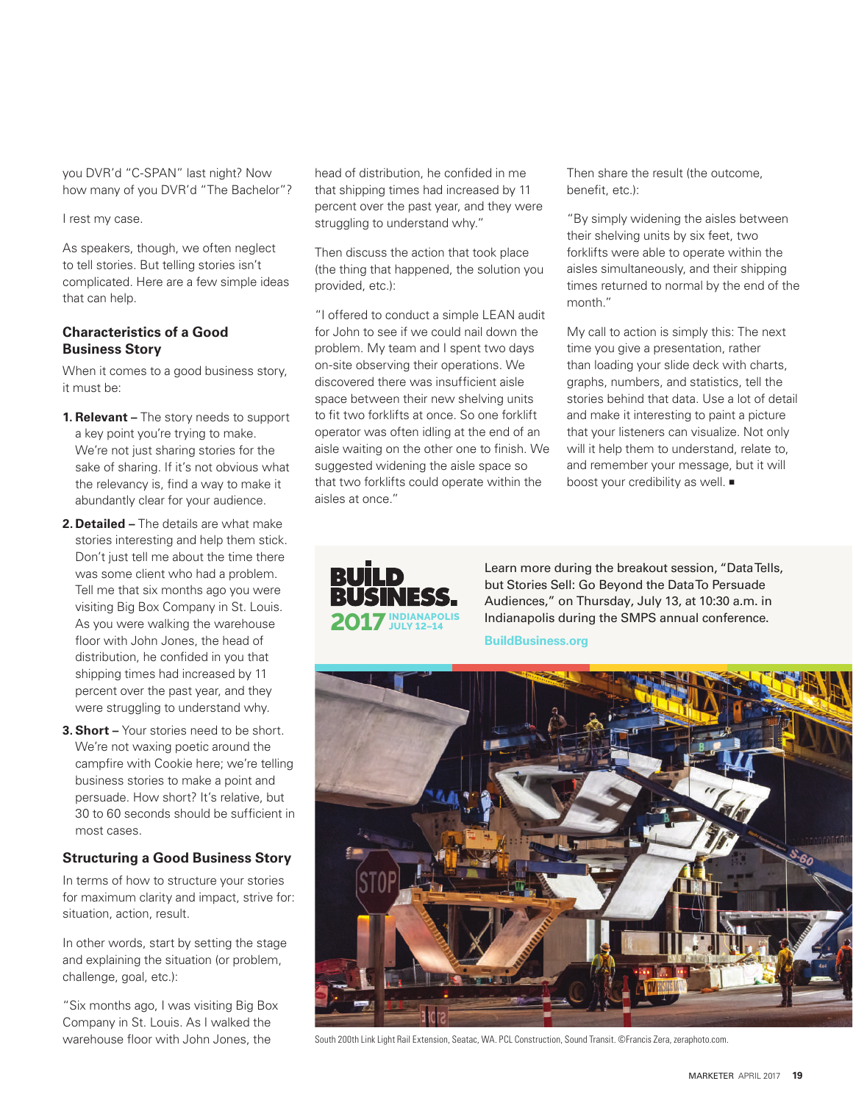you DVR'd "C-SPAN" last night? Now how many of you DVR'd "The Bachelor"?

#### I rest my case.

As speakers, though, we often neglect to tell stories. But telling stories isn't complicated. Here are a few simple ideas that can help.

#### **Characteristics of a Good Business Story**

When it comes to a good business story, it must be:

- **1. Relevant –** The story needs to support a key point you're trying to make. We're not just sharing stories for the sake of sharing. If it's not obvious what the relevancy is, find a way to make it abundantly clear for your audience.
- **2. Detailed –** The details are what make stories interesting and help them stick. Don't just tell me about the time there was some client who had a problem. Tell me that six months ago you were visiting Big Box Company in St. Louis. As you were walking the warehouse floor with John Jones, the head of distribution, he confided in you that shipping times had increased by 11 percent over the past year, and they were struggling to understand why.
- **3. Short –** Your stories need to be short. We're not waxing poetic around the campfire with Cookie here; we're telling business stories to make a point and persuade. How short? It's relative, but 30 to 60 seconds should be sufficient in most cases.

#### **Structuring a Good Business Story**

In terms of how to structure your stories for maximum clarity and impact, strive for: situation, action, result.

In other words, start by setting the stage and explaining the situation (or problem, challenge, goal, etc.):

"Six months ago, I was visiting Big Box Company in St. Louis. As I walked the warehouse floor with John Jones, the

head of distribution, he confided in me that shipping times had increased by 11 percent over the past year, and they were struggling to understand why."

Then discuss the action that took place (the thing that happened, the solution you provided, etc.):

"I offered to conduct a simple LEAN audit for John to see if we could nail down the problem. My team and I spent two days on-site observing their operations. We discovered there was insufficient aisle space between their new shelving units to fit two forklifts at once. So one forklift operator was often idling at the end of an aisle waiting on the other one to finish. We suggested widening the aisle space so that two forklifts could operate within the aisles at once."

Then share the result (the outcome, benefit, etc.):

"By simply widening the aisles between their shelving units by six feet, two forklifts were able to operate within the aisles simultaneously, and their shipping times returned to normal by the end of the month."

My call to action is simply this: The next time you give a presentation, rather than loading your slide deck with charts, graphs, numbers, and statistics, tell the stories behind that data. Use a lot of detail and make it interesting to paint a picture that your listeners can visualize. Not only will it help them to understand, relate to, and remember your message, but it will boost your credibility as well.  $\blacksquare$ 



Learn more during the breakout session, "Data Tells, but Stories Sell: Go Beyond the Data To Persuade Audiences," on Thursday, July 13, at 10:30 a.m. in Indianapolis during the SMPS annual conference.

**BuildBusiness.org**



South 200th Link Light Rail Extension, Seatac, WA. PCL Construction, Sound Transit. ©Francis Zera, zeraphoto.com.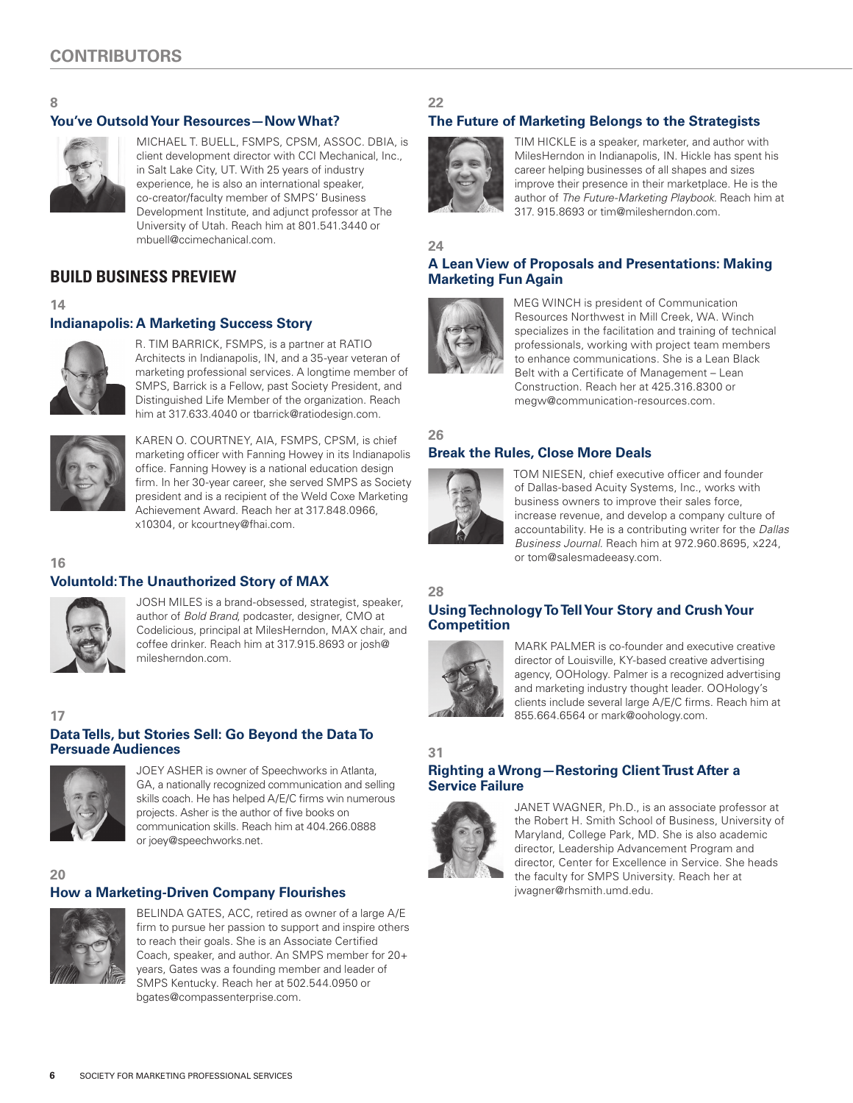

### **You've Outsold Your Resources—Now What?**



#### MICHAEL T. BUELL, FSMPS, CPSM, ASSOC. DBIA, is client development director with CCI Mechanical, Inc., in Salt Lake City, UT. With 25 years of industry experience, he is also an international speaker, co-creator/faculty member of SMPS' Business Development Institute, and adjunct professor at The University of Utah. Reach him at 801.541.3440 or mbuell@ccimechanical.com.

## **BUILD BUSINESS PREVIEW**

#### **14**

#### **Indianapolis: A Marketing Success Story**



R. TIM BARRICK, FSMPS, is a partner at RATIO Architects in Indianapolis, IN, and a 35-year veteran of marketing professional services. A longtime member of SMPS, Barrick is a Fellow, past Society President, and Distinguished Life Member of the organization. Reach him at 317.633.4040 or tbarrick@ratiodesign.com.



KAREN O. COURTNEY, AIA, FSMPS, CPSM, is chief marketing officer with Fanning Howey in its Indianapolis office. Fanning Howey is a national education design firm. In her 30-year career, she served SMPS as Society president and is a recipient of the Weld Coxe Marketing Achievement Award. Reach her at 317.848.0966, x10304, or kcourtney@fhai.com.

#### **16**

### **Voluntold: The Unauthorized Story of MAX**



JOSH MILES is a brand-obsessed, strategist, speaker, author of *Bold Brand*, podcaster, designer, CMO at Codelicious, principal at MilesHerndon, MAX chair, and coffee drinker. Reach him at 317.915.8693 or josh@ milesherndon.com.

#### **17**

#### **Data Tells, but Stories Sell: Go Beyond the Data To Persuade Audiences**



JOEY ASHER is owner of Speechworks in Atlanta, GA, a nationally recognized communication and selling skills coach. He has helped A/E/C firms win numerous projects. Asher is the author of five books on communication skills. Reach him at 404.266.0888 or joey@speechworks.net.

## **20**

## **How a Marketing-Driven Company Flourishes**



BELINDA GATES, ACC, retired as owner of a large A/E firm to pursue her passion to support and inspire others to reach their goals. She is an Associate Certified Coach, speaker, and author. An SMPS member for 20+ years, Gates was a founding member and leader of SMPS Kentucky. Reach her at 502.544.0950 or bgates@compassenterprise.com.

## **22**

## **The Future of Marketing Belongs to the Strategists**



TIM HICKLE is a speaker, marketer, and author with MilesHerndon in Indianapolis, IN. Hickle has spent his career helping businesses of all shapes and sizes improve their presence in their marketplace. He is the author of *The Future-Marketing Playbook*. Reach him at 317. 915.8693 or tim@milesherndon.com.

## **24**

#### **A Lean View of Proposals and Presentations: Making Marketing Fun Again**



MEG WINCH is president of Communication Resources Northwest in Mill Creek, WA. Winch specializes in the facilitation and training of technical professionals, working with project team members to enhance communications. She is a Lean Black Belt with a Certificate of Management – Lean Construction. Reach her at 425.316.8300 or megw@communication-resources.com.

## **26**



TOM NIESEN, chief executive officer and founder of Dallas-based Acuity Systems, Inc., works with business owners to improve their sales force, increase revenue, and develop a company culture of accountability. He is a contributing writer for the *Dallas Business Journal.* Reach him at 972.960.8695, x224, or tom@salesmadeeasy.com.

**28**

#### **Using Technology To Tell Your Story and Crush Your Competition**



MARK PALMER is co-founder and executive creative director of Louisville, KY-based creative advertising agency, OOHology. Palmer is a recognized advertising and marketing industry thought leader. OOHology's clients include several large A/E/C firms. Reach him at 855.664.6564 or mark@oohology.com.

## **31**

#### **Righting a Wrong—Restoring Client Trust After a Service Failure**



JANET WAGNER, Ph.D., is an associate professor at the Robert H. Smith School of Business, University of Maryland, College Park, MD. She is also academic director, Leadership Advancement Program and director, Center for Excellence in Service. She heads the faculty for SMPS University. Reach her at jwagner@rhsmith.umd.edu.